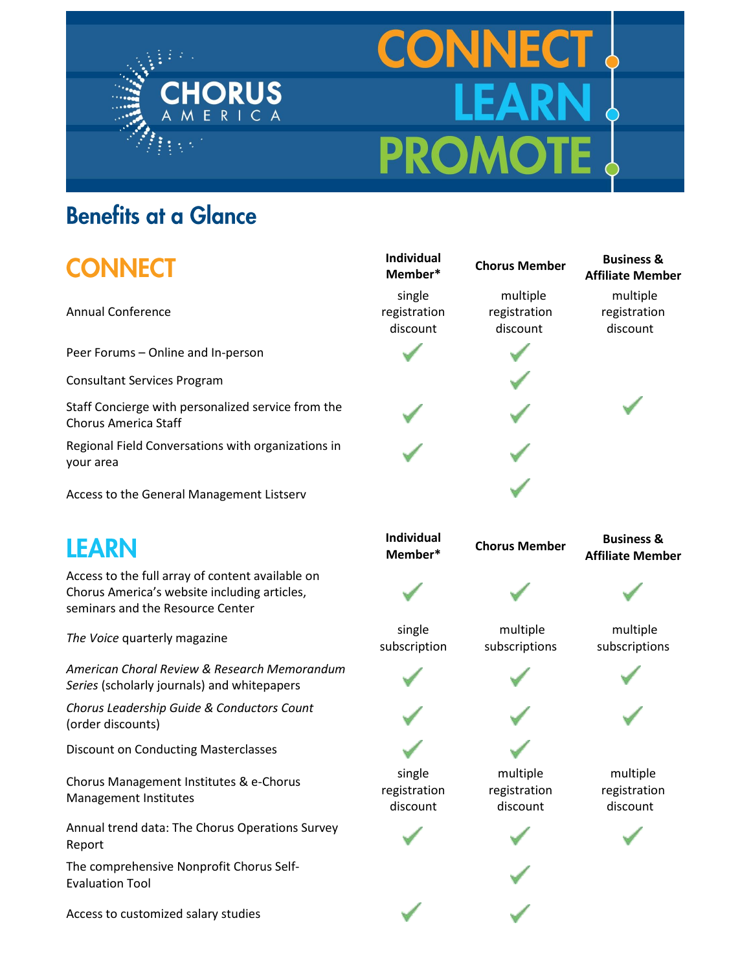

# **CONNEC PROMO**

#### **Benefits at a Glance**

## **CONNECT**

Annual Conference

Peer Forums – Online and In-person

Consultant Services Program

Staff Concierge with personalized service from the Chorus America Staff

Regional Field Conversations with organizations in your area

Access to the General Management Listserv

### **LEARN**

Access to the full array of content available on Chorus America's website including articles, seminars and the Resource Center

**The Voice quarterly magazine** single

*American Choral Review & Research Memorandum Series* (scholarly journals) and whitepapers

*Chorus Leadership Guide & Conductors Count* (order discounts)

Discount on Conducting Masterclasses

Chorus Management Institutes & e-Chorus Management Institutes

Annual trend data: The Chorus Operations Survey Report

The comprehensive Nonprofit Chorus Self-Evaluation Tool

Access to customized salary studies